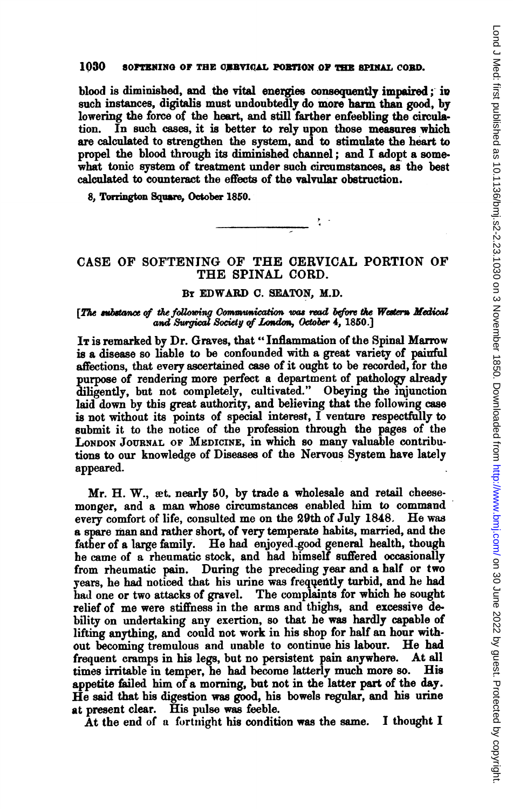## 1030 SOFTENING OF THE OBBVICAL PORTION OF THE SPINAL CORD.

blood is diminished, and the vital energies consequently impaired; in such instances, digitalis must undoubtedly do more harm than good, by lowering the force of the heart, and still farther enfeebling the circulation. In such cases, it is better to rely upon those measures which are calculated to strengthen the system, and to stimulate the heart to propel the blood through its diminished channel; and I adopt a somewhat tonic system of treatment under such circumstances, as the best calculated to counteract the effects of the valvular obstruction.

8, Torrington Square, October 1850.

# CASE OF SOFTENING OF THE CERVICAL PORTION OF THE SPINAL CORD.

## BY EDWARD C. SEATON, M.D.

#### [The substance of the following Communication was read before the Western Medical and Surgical Society of London, October 4, 1850.]

IT is remarked by Dr. Graves, that "Inflammation of the Spinal Marrow is a disease so liable to be confounded with a great variety of painful affections, that every ascertained case of it ought to be recorded, for the purpose of rendering more perfect a department of pathology already diligently, but not completely, cultivated." Obeying the injunction laid down by this great authority, and believing that the following case is not without its points of special interest, I venture respectfully to submit it to the notice of the profession through the pages of the LONDON JOURNAL OF MEDICINE, in which so many valuable contributions to our knowledge of Diseases of the Nervous System have lately appeared.

Mr. H. W., et. nearly 50, by trade a wholesale and retail cheesemonger, and a man whose circumstances enabled him to command every comfort of life, consulted me on the 29th of July 1848. He was a spare man and rather short, of very temperate habits, married, and the fatber of <sup>a</sup> large family. He had enjoyed-good general health, though he came of a rheumatic stock, and had bimself suffered occasionally from rheumatic pain. During the preceding year and a half or two years, he had noticed that his urine was frequently turbid, and he had had one or two attacks of gravel. The complaints for which he sought relief of me were stiffness in the arms and thighs, and excessive debility on undertaking any exertion, so that he was hardly capable of lifting anything, and could not work in his shop for half an hour without becoming tremulous and unable to continue his labour. He had frequent cramps in his legs, but no persistent pain anywhere. At all times irritable in temper, he had become latterly much more so. appetite failed him of a morning, but not in the latter part of the day. He said that his digestion was good, his bowels regular, and his urine at present clear. His pulse was feeble.

At the end of a fortnight his condition was the same. I thought  $I$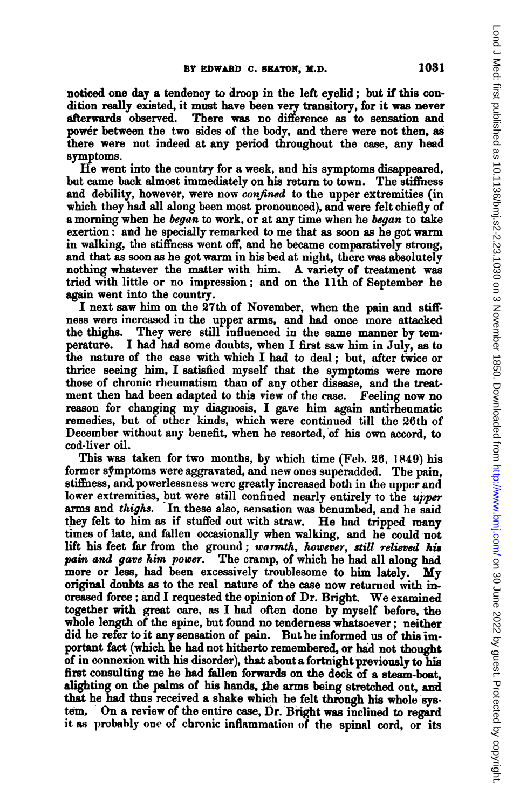noticed one day a tendency to droop in the left eyelid; but if this condition really existed, it must have been very transitory, for it was never<br>afterwards observed. There was no difference as to sensation and There was no difference as to sensation and power between the two sides of the body, and there were not then, as there were not indeed at any period throughout the case, any head symptoms.

He went into the country for <sup>a</sup> week, and his symptoms disappeared, but came back almost immediately on his return to town. The stiffness and debility, however, were now confined to the upper extremities (in which they had all along been most pronounced), and were felt chiefly of a morning when he began to work, or at any time when he began to take exertion: and he specially remarked to me that as soon as he got warm in walking, the stiffness went off, and he became comparatively strong, and that as soon as he got warm in his bed at night, there was absolutely nothing whatever the matter with him. A variety of treatment was tried with little or no impression; and on the 11th of September he again went into the country.

I next saw him on the 27th of November, when the pain and stiffness were increased in the upper arms, and had once more attacked the thighs. They were still influenced in the same manner by temperature. I had had some doubts, when <sup>I</sup> first saw him in July, as to the nature of the case with which I had to deal; but, after twice or thrice seeing him, I satisfied myself that the symptoms were more those of chronic rheumatism than of any other disease, and the treatment then had been adapted to this view of the case. Feeling now no reason for changing my diagnosis, I gave him again antirheumatic remedies, but of other kinds, which were continued till the 26th of December without any benefit, when he resorted, of his own accord, to cod-liver oil.

This was taken for two months, by which time (Feb. 26, 1849) his former symptoms were aggravated, and new ones superadded. The pain, stiffness, and. powerlessness were greatly increased both in the upper and lower extremities, but were still confined nearly entirely to the upper arms and thighs. In these also, sensation was benumbed, and he said they felt to him as if stuffed out with straw. He had tripped many times of late, and fallen occasionally when walking, and he could not lift his feet far from the ground; warmth, however, still relieved his pain and gave him power. The cramp, of which he had all along had The cramp, of which he had all along had more or less, had been excessively troublesome to him lately. My original doubts as to the real nature of the case now returned with increased force; and <sup>I</sup> requested the opinion of Dr. Bright. We examined together with great care, as I had often done by myself before, the whole length of the spine, but found no tenderness whatsoever; neither did he refer to it any sensation of pain. But he informed us of this important fact (which he had not hitherto remembered, or had not thought of in connexion with his disorder), that about a fortnight previously to his first consulting me he had fallen forwards on the deck of a steam-boat, alighting on the palms of his hands, the arms being stretched out, and that he had thus received a shake which he felt through his whole sys-<br>tem. On a review of the entire case. Dr. Bright was inclined to regard On a review of the entire case, Dr. Bright was inclined to regard it as probably one of chronic inflammation of the spinal cord, or its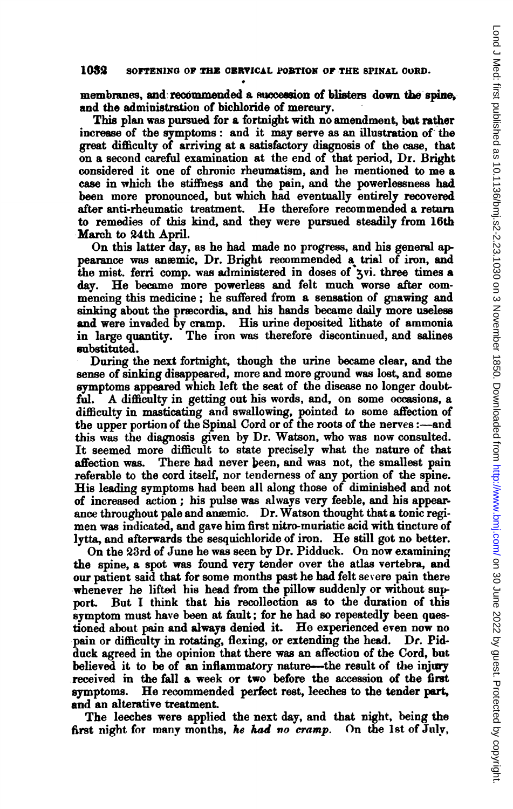#### 1032 SOFTENING OF THE CERVICAL PORTION OF THE SPINAL CORD.

membranes, and recommended a succession of blisters down the spine, and the administration of bichloride of mercury.

This plan was pursued for a fortnight with no amendment, but rather increase of the symptoms: and it may serve as an illustration of the great difficulty of arriving at a satisfactory diagnosis of the case, that on a second careful examination at the end of that period, Dr. Bright considered it one of chronic rheumatism, and he mentioned to me a case in which the stiffness and the pain, and the powerlessness had been more pronounced, but which had eventually entirely recovered after anti-rheumatic treatment. He therefore recommended a return to remedies of this kind, and they were pursued steadily from 16th March to 24th April.

On this latter day, as he had made no progress, and his general appearance was anemic, Dr. Bright recommended a trial of iron, and the mist. ferri comp. was administered in doses of zvi. three times a day. He became more powerless and felt much worse after commencing this medicine; he suffered from a sensation of gnawing and sinking about the precordia, and his hands became daily more useless and were invaded by cramp. His urine deposited lithate of ammonia in large quantity. The iron was therefore discontinued, and salines substituted.

During the next fortnight, though the urine became clear, and the sense of sinking disappeared, more and more ground was lost, and some symptoms appeared which left the seat of the disease no longer doubtful. A difficulty in getting out his words, and, on some occasions, a difficulty in masticating and swallowing, pointed to some affection of the upper portion of the Spinal Cord or of the roots of the nerves :- and this was the diagnosis given by Dr. Watson, who was now consulted. It seemed more difficult to state precisely what the nature of that affection was. There had never been, and was not, the smallest pain referable to the cord itself, nor tenderness of any portion of the spine. His leading symptoms had been all along those of diminished and not of increased action; his pulse was always very feeble, and his appearance throughout pale and anæmic. Dr. Watson thought that a tonic regimen was indicated, and gave him first nitro-muriatic acid with tincture of lytta, and afterwards the sesquichloride of iron. He still got no better.

On the 23rd of June he was seen by Dr. Pidduck. On now examining the spine, a spot was found very tender over the atlas vertebra, and our patient said that for some months past he had felt severe pain there whenever he lifted his head from the pillow suddenly or without support. But I think that his recollection as to the duration of this symptom must have been at fault; for he had so repeatedly been questioned about pain and always denied it. He experienced even now no pain or difficulty in rotating, flexing, or extending the head. duck agreed in the opinion that there was an affection of the Cord, but believed it to be of an inflammatory nature-the result of the injury received in the fall a week or two before the accession of the first symptoms. He recommended perfect rest, leeches to the tender part, and an alterative treatment.

The leeches were applied the next day, and that night, being the first night for many months, he had no cramp. On the 1st of Julv,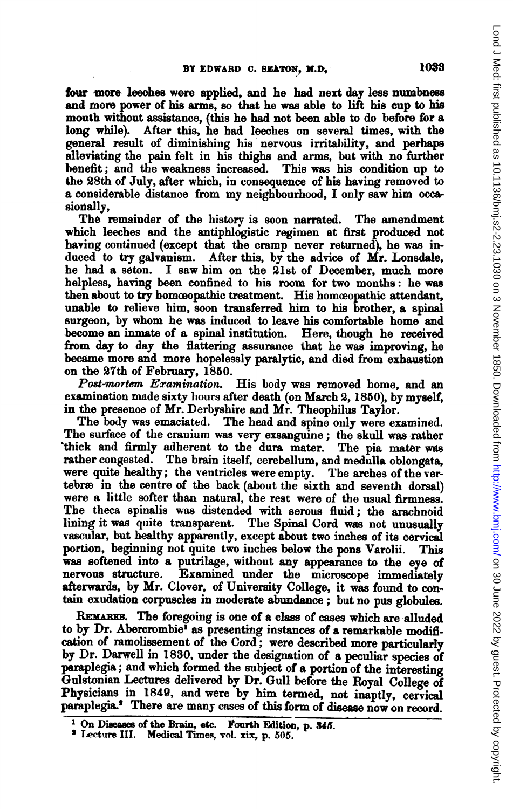four more leeches were applied, and he had next day less numbness and more power of his arms, so that he was able to lift his cup to his mouth without assistance, (this he had not been able to do before for a long while). After this, he had leeches on several times, with the After this, he had leeches on several times, with the general result of diminishing his nervous irritability, and perhaps alleviating the pain felt in his thighs and arms, but with no further benefit; and the weakness increased. This was his condition up to the 28th of July, after which, in consequence of his having removed to a considerable distance from my neighbourhood, <sup>I</sup> only saw him occasionally,

The remainder of the history is soon narrated. The amendment which leeches and the antiphlogistic regimen at first produced not having continued (except that the cramp never returned), he was induced to try galvanism. After this, by the advice of Mr. Lonsdale, he had a seton. I saw him on the 21st of December, much more helpless, having been confined to his room for two months: he was then about to try homceopathic treatment. His homeopathic attendant, unable to relieve him, soon transferred him to his brother, a spinal surgeon, by whom he was induced to leave his comfortable home and become an inmate of a spinal institution. Here, though he received from day to day the flattering assurance that he was improving, he became more and more hopelessly paralytic, and died from exhaustion on the 27th of February, 1850.<br>Post-mortem Examination.

His body was removed home, and an examination made sixty hours after death (on March 2, 1860), by myself, in the presence of Mr. Derbyshire and Mr. Theophilus Taylor.

The body was emaciated. The head and spine only were examined. The surface of the cranium was very exsanguine; the skull was rather 'thick and firmly adherent to the dura mater. The pia mater wa rather congested. The brain itself, cerebellum, and medulla oblongata, were quite healthy; the ventricles were empty. The arches of the vertebræ in the centre of the back (about the sixth and seventh dorsal) were a little softer than natural, the rest were of the usual firmness. The theca spinalis was distended with serous fluid; the arachnoid lining it was quite transparent. The Spinal Cord was not unusually vascular, but healthy apparently, except about two inches of its cervical portion, beginning not quite two inches below the pons Varolii. This was softened into a putrilage, without any appearance to the eye of nervous structure. Examined under the microscope immediately Examined under the microscope immediately afterwards, by Mr. Clover, of University College, it was found to contain exudation corpuscles in moderate abundance; but no pus globules.

REMARKS. The foregoing is one of a class of cases which are alluded to by Dr. Abercrombie' as presenting instances of a remarkable modification of ramolissement of the Cord; were described more particularly by Dr. Darwell in 1830, under the designation of a peculiar species of paraplegia; and which formed the subject of a portion of the interesting Gulstonian Lectures delivered by Dr. Gull before the Royal College of Physicians in 1849, and were by him termed, not inaptly, cervical paraplegia.<sup>2</sup> There are many cases of this form of disease now on record.

<sup>&</sup>lt;sup>1</sup> On Diseases of the Brain, etc. Fourth Edition, p. 345.

<sup>&</sup>lt;sup>2</sup> Lecture III. Medical Times, vol. xix, p. 505.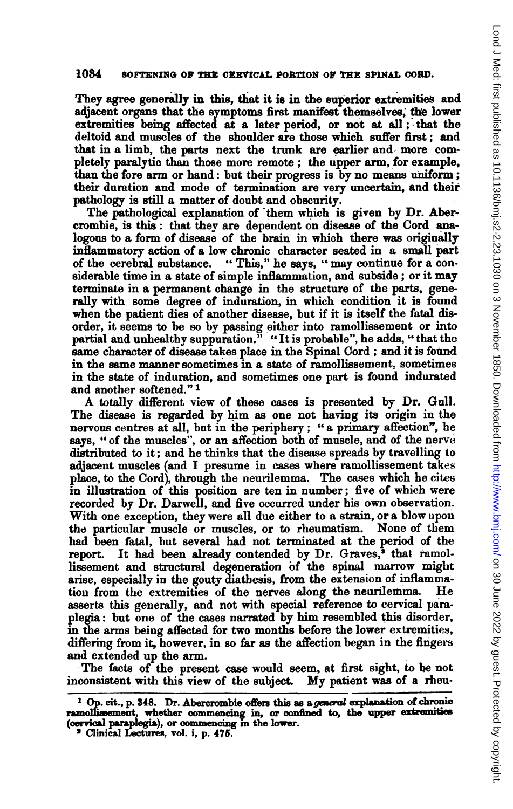## 1084 SOFTENING OF THE CERVICAL PORTION OF THE SPINAL CORD.

They agree generally in this, that it is in the superior extremities and adjacent organs that the symptoms first manifest themselves; tke lower extremities being affected at a later period, or not at all ; that the deltoid and muscles of the shoulder are those which suffer first; and that in a limb, the parts next the trunk are earlier and- more completely paralytic than those more remote; the upper arm, for example, than the fore arm or hand: but their progress is by no means uniform; their duration and mode of termination are very uncertain, and their pathology is still a matter of doubt and obscurity.

The pathological explanation of them which is given by Dr. Abercrombie, is this: that they are dependent on disease of the Cord analogous to a form of disease of the brain in which there was originally inflammatory action of a low chronic character seated in a small part of the cerebral substance. "This," he says, "may continue for a considerable time in a state of simple inflammation, and subside; or it may terminate in a permanent change in the structure of the parts, generally with some degree of induration, in which condition it is found when the patient dies of another disease, but if it is itself the fatal disorder, it seems to be so by passing either into ramollissement or into partial and unhealthy suppuration." "It is probable", he adds, " that the same character of disease takes place in the Spinal Cord; and it is found in the same manner sometimes in a state of ramollissement, sometimes in the state of induration, and sometimes one part is found indurated and another softened." <sup>1</sup>

A totally different view of these cases is presented by Dr. Gull. The disease is regarded by him as one not having its origin in the nervous centres at all, but in the periphery; "a primary affection", he says, "of the muscles", or an affection both of muscle, and of the nerve distributed to it; and he thinks that the disease spreads by travelling to adjacent muscles (and I presume in cases where ramollissement takes place, to the Cord), through the neurilemma. The cases which he cites in illustration of this position are ten in number; five of which were recorded by Dr. Darwell, and five occurred under his own observation. With one exception, they were all due either to a strain, or a blow upon the particular muscle or muscles, or to rheumatism. None of them the particular muscle or muscles, or to rheumatism. had been fatal, but several had not terminated at the period of the report. It had been already contended by Dr. Graves,<sup>2</sup> that ramollissement and structural degeneration of the spinal marrow might arise, especially in the gouty diathesis, from the extension of inflamma-<br>tion from the extremities of the nerves along the neurilemma. He tion from the extremities of the nerves along the neurilemma. asserts this generally, and not with special reference to cervical paraplegia: but one of the cases narrated by him resembled this disorder, in the arms being affected for two months before the lower extremities, differing from it, however, in so far as the affection began in the fingers and extended up the arm.

The facts of the present case would seem, at first sight, to be not inconsistent with this view of the subject. My patient was of <sup>a</sup> rheu-

<sup>&</sup>lt;sup>1</sup> Op. cit., p. 348. Dr. Abercrombie offers this as a general explanation of chronic ramollissement, whether commencing in, or confined to, the upper extremities (cervical paraplegia), or commencing in the lower.

<sup>&</sup>lt;sup>2</sup> Clinical Lectures, vol. i, p. 475.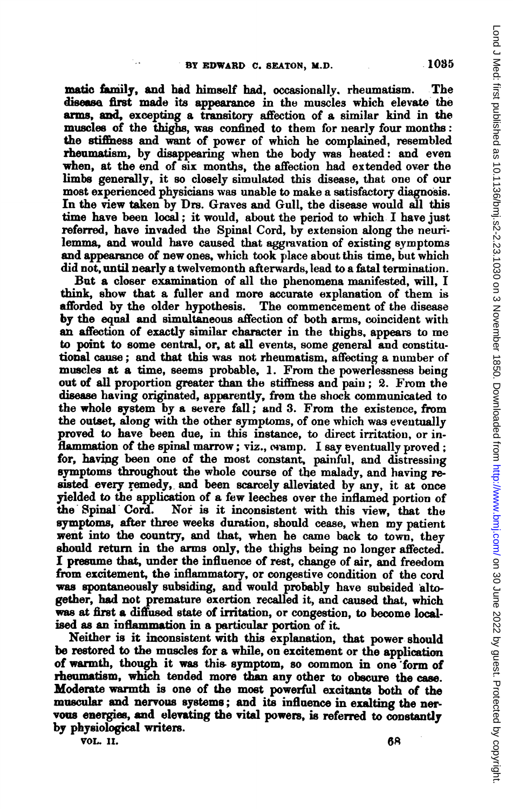matic family, and had himself had, occasionally, rheumatism. The disease first made its appearance in the muscles which elevate the arms, and, excepting a transitory affection of a similar kind in the muscles of the thighs, was confined to them for nearly four months: the stiffness and want of power of which he complained, resembled rheumatism, by disappearing when the body was heated: and even when, at the end of six months, the affection had extended over the limbs generally, it so closely simulated this disease, that one of our most experienced physicians was unable to make a satisfactory diagnosis. In the view taken by Drs. Graves and Gull, the disease would all this time have been local; it would, about the period to which I have just referred, have invaded the Spinal Cord, by extension along the neurilemma, and would have caused that aggravation of existing symptoms and appearance of new ones. which took place about this time, but which did not, until nearly a twelvemonth afterwards, lead to a fatal termination.

But a closer examination of all the phenomena manifested, will, I think, show that a fuller and more accurate explanation of them is afforded by the older hypothesis. The commencement of the disease by the equal and simultaneous affection of both arms, coincident with an affection of exactly similar character in the thighs, appears to me to point to some central, or, at all events, some general and constitutional cause; and that this was not rheumatism, affecting a number of muscles at a time, seems probable, 1. From the powerlessness being out of all proportion greater than the stiffness and pain; 2. From the disease having originated, apparently, from the shock communicated to the whole system by a severe fall; and 3. From the existence, from the outset, along with the other symptoms, of one which was eventually proved to have been due, in this instance, to direct irritation, or inflammation of the spinal marrow; viz., evamp. I say eventually proved; for, having been one of the most constant, painful, and distressing symptoms throughout the whole course of the malady, and having resisted every remedy, and been scarcely alleviated by any, it at once yielded to the application of a few leeches over the inflamed portion of the Spinal Cord. Nor is it inconsistent with this view, that the Nor is it inconsistent with this view, that the symptoms, after three weeks duration, should cease, when my patient went into the country, and that, when he came back to town, they should return in the arms only, the thighs being no longer affected. I presume that, under the influence of rest, change of air, and freedom from excitement, the inflammatory, or congestive condition of the cord was spontaneously subsiding, and would probably have subsided altogether, had not premature exertion recalled it, and caused that, which was at first a diffused state of irritation, or congestion, to become localised as an inflammation in a particular portion of it.

Neither is it inconsistent with this explanation, that power should be restored to the muscles for a while, on excitement or the application of warmth, though it was this symptom, so common in one form of rheumatism, which tended more than any other to obscure the case. Moderate warmth is one of the most powerful excitants both of the muscular and nervous systems; and its influence in exating the nervous energies, and elevating the vital powers, is referred to constantly by physiological writers.

VOL. I.

1035